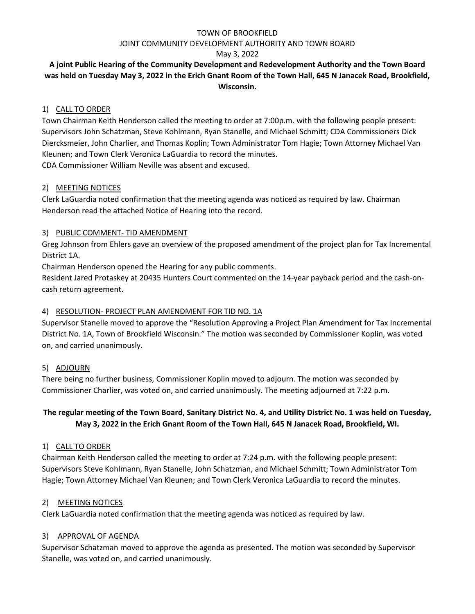#### JOINT COMMUNITY DEVELOPMENT AUTHORITY AND TOWN BOARD

### May 3, 2022

# **A joint Public Hearing of the Community Development and Redevelopment Authority and the Town Board was held on Tuesday May 3, 2022 in the Erich Gnant Room of the Town Hall, 645 N Janacek Road, Brookfield, Wisconsin.**

## 1) CALL TO ORDER

Town Chairman Keith Henderson called the meeting to order at 7:00p.m. with the following people present: Supervisors John Schatzman, Steve Kohlmann, Ryan Stanelle, and Michael Schmitt; CDA Commissioners Dick Diercksmeier, John Charlier, and Thomas Koplin; Town Administrator Tom Hagie; Town Attorney Michael Van Kleunen; and Town Clerk Veronica LaGuardia to record the minutes.

CDA Commissioner William Neville was absent and excused.

## 2) MEETING NOTICES

Clerk LaGuardia noted confirmation that the meeting agenda was noticed as required by law. Chairman Henderson read the attached Notice of Hearing into the record.

## 3) PUBLIC COMMENT- TID AMENDMENT

Greg Johnson from Ehlers gave an overview of the proposed amendment of the project plan for Tax Incremental District 1A.

Chairman Henderson opened the Hearing for any public comments.

Resident Jared Protaskey at 20435 Hunters Court commented on the 14-year payback period and the cash-oncash return agreement.

## 4) RESOLUTION- PROJECT PLAN AMENDMENT FOR TID NO. 1A

Supervisor Stanelle moved to approve the "Resolution Approving a Project Plan Amendment for Tax Incremental District No. 1A, Town of Brookfield Wisconsin." The motion was seconded by Commissioner Koplin, was voted on, and carried unanimously.

# 5) ADJOURN

There being no further business, Commissioner Koplin moved to adjourn. The motion was seconded by Commissioner Charlier, was voted on, and carried unanimously. The meeting adjourned at 7:22 p.m.

# **The regular meeting of the Town Board, Sanitary District No. 4, and Utility District No. 1 was held on Tuesday, May 3, 2022 in the Erich Gnant Room of the Town Hall, 645 N Janacek Road, Brookfield, WI.**

### 1) CALL TO ORDER

Chairman Keith Henderson called the meeting to order at 7:24 p.m. with the following people present: Supervisors Steve Kohlmann, Ryan Stanelle, John Schatzman, and Michael Schmitt; Town Administrator Tom Hagie; Town Attorney Michael Van Kleunen; and Town Clerk Veronica LaGuardia to record the minutes.

### 2) MEETING NOTICES

Clerk LaGuardia noted confirmation that the meeting agenda was noticed as required by law.

### 3) APPROVAL OF AGENDA

Supervisor Schatzman moved to approve the agenda as presented. The motion was seconded by Supervisor Stanelle, was voted on, and carried unanimously.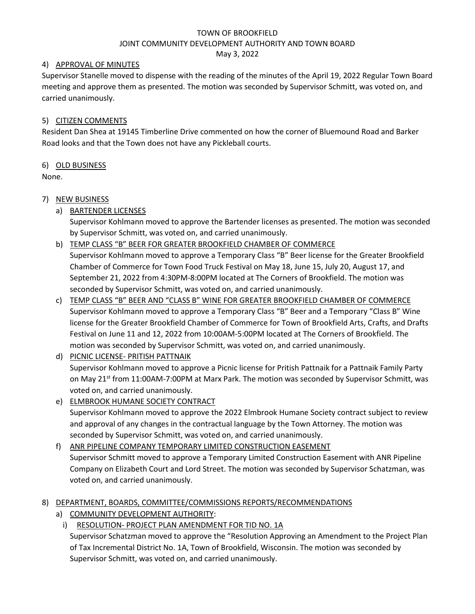#### JOINT COMMUNITY DEVELOPMENT AUTHORITY AND TOWN BOARD

May 3, 2022

## 4) APPROVAL OF MINUTES

Supervisor Stanelle moved to dispense with the reading of the minutes of the April 19, 2022 Regular Town Board meeting and approve them as presented. The motion was seconded by Supervisor Schmitt, was voted on, and carried unanimously.

# 5) CITIZEN COMMENTS

Resident Dan Shea at 19145 Timberline Drive commented on how the corner of Bluemound Road and Barker Road looks and that the Town does not have any Pickleball courts.

# 6) OLD BUSINESS

None.

# 7) NEW BUSINESS

a) BARTENDER LICENSES

Supervisor Kohlmann moved to approve the Bartender licenses as presented. The motion was seconded by Supervisor Schmitt, was voted on, and carried unanimously.

b) TEMP CLASS "B" BEER FOR GREATER BROOKFIELD CHAMBER OF COMMERCE

Supervisor Kohlmann moved to approve a Temporary Class "B" Beer license for the Greater Brookfield Chamber of Commerce for Town Food Truck Festival on May 18, June 15, July 20, August 17, and September 21, 2022 from 4:30PM-8:00PM located at The Corners of Brookfield. The motion was seconded by Supervisor Schmitt, was voted on, and carried unanimously.

c) TEMP CLASS "B" BEER AND "CLASS B" WINE FOR GREATER BROOKFIELD CHAMBER OF COMMERCE Supervisor Kohlmann moved to approve a Temporary Class "B" Beer and a Temporary "Class B" Wine license for the Greater Brookfield Chamber of Commerce for Town of Brookfield Arts, Crafts, and Drafts Festival on June 11 and 12, 2022 from 10:00AM-5:00PM located at The Corners of Brookfield. The motion was seconded by Supervisor Schmitt, was voted on, and carried unanimously.

# d) PICNIC LICENSE- PRITISH PATTNAIK

Supervisor Kohlmann moved to approve a Picnic license for Pritish Pattnaik for a Pattnaik Family Party on May 21<sup>st</sup> from 11:00AM-7:00PM at Marx Park. The motion was seconded by Supervisor Schmitt, was voted on, and carried unanimously.

- e) ELMBROOK HUMANE SOCIETY CONTRACT Supervisor Kohlmann moved to approve the 2022 Elmbrook Humane Society contract subject to review and approval of any changes in the contractual language by the Town Attorney. The motion was seconded by Supervisor Schmitt, was voted on, and carried unanimously.
- f) ANR PIPELINE COMPANY TEMPORARY LIMITED CONSTRUCTION EASEMENT Supervisor Schmitt moved to approve a Temporary Limited Construction Easement with ANR Pipeline Company on Elizabeth Court and Lord Street. The motion was seconded by Supervisor Schatzman, was voted on, and carried unanimously.
- 8) DEPARTMENT, BOARDS, COMMITTEE/COMMISSIONS REPORTS/RECOMMENDATIONS
	- a) COMMUNITY DEVELOPMENT AUTHORITY:
	- i) RESOLUTION- PROJECT PLAN AMENDMENT FOR TID NO. 1A

Supervisor Schatzman moved to approve the "Resolution Approving an Amendment to the Project Plan of Tax Incremental District No. 1A, Town of Brookfield, Wisconsin. The motion was seconded by Supervisor Schmitt, was voted on, and carried unanimously.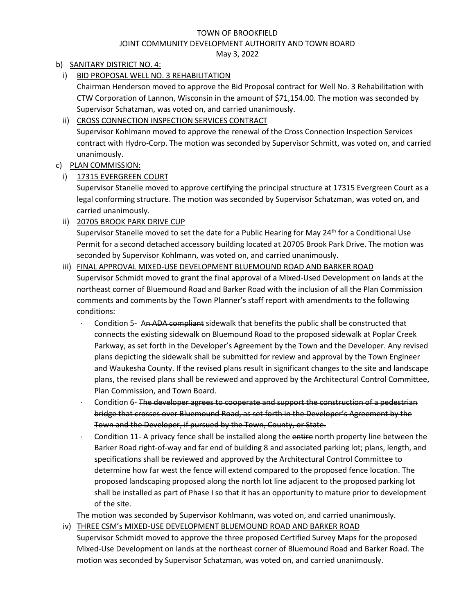### JOINT COMMUNITY DEVELOPMENT AUTHORITY AND TOWN BOARD

May 3, 2022

# b) SANITARY DISTRICT NO. 4:

i) BID PROPOSAL WELL NO. 3 REHABILITATION

Chairman Henderson moved to approve the Bid Proposal contract for Well No. 3 Rehabilitation with CTW Corporation of Lannon, Wisconsin in the amount of \$71,154.00. The motion was seconded by Supervisor Schatzman, was voted on, and carried unanimously.

## ii) CROSS CONNECTION INSPECTION SERVICES CONTRACT

Supervisor Kohlmann moved to approve the renewal of the Cross Connection Inspection Services contract with Hydro-Corp. The motion was seconded by Supervisor Schmitt, was voted on, and carried unanimously.

## c) PLAN COMMISSION:

i) 17315 EVERGREEN COURT

Supervisor Stanelle moved to approve certifying the principal structure at 17315 Evergreen Court as a legal conforming structure. The motion was seconded by Supervisor Schatzman, was voted on, and carried unanimously.

ii) 20705 BROOK PARK DRIVE CUP

Supervisor Stanelle moved to set the date for a Public Hearing for May 24<sup>th</sup> for a Conditional Use Permit for a second detached accessory building located at 20705 Brook Park Drive. The motion was seconded by Supervisor Kohlmann, was voted on, and carried unanimously.

## iii) FINAL APPROVAL MIXED-USE DEVELOPMENT BLUEMOUND ROAD AND BARKER ROAD

Supervisor Schmidt moved to grant the final approval of a Mixed-Used Development on lands at the northeast corner of Bluemound Road and Barker Road with the inclusion of all the Plan Commission comments and comments by the Town Planner's staff report with amendments to the following conditions:

- Condition 5- An ADA compliant sidewalk that benefits the public shall be constructed that connects the existing sidewalk on Bluemound Road to the proposed sidewalk at Poplar Creek Parkway, as set forth in the Developer's Agreement by the Town and the Developer. Any revised plans depicting the sidewalk shall be submitted for review and approval by the Town Engineer and Waukesha County. If the revised plans result in significant changes to the site and landscape plans, the revised plans shall be reviewed and approved by the Architectural Control Committee, Plan Commission, and Town Board.
- Condition 6- The developer agrees to cooperate and support the construction of a pedestrian bridge that crosses over Bluemound Road, as set forth in the Developer's Agreement by the Town and the Developer, if pursued by the Town, County, or State.
- Condition 11- A privacy fence shall be installed along the entire north property line between the Barker Road right-of-way and far end of building 8 and associated parking lot; plans, length, and specifications shall be reviewed and approved by the Architectural Control Committee to determine how far west the fence will extend compared to the proposed fence location. The proposed landscaping proposed along the north lot line adjacent to the proposed parking lot shall be installed as part of Phase I so that it has an opportunity to mature prior to development of the site.

The motion was seconded by Supervisor Kohlmann, was voted on, and carried unanimously.

iv) THREE CSM's MIXED-USE DEVELOPMENT BLUEMOUND ROAD AND BARKER ROAD Supervisor Schmidt moved to approve the three proposed Certified Survey Maps for the proposed Mixed-Use Development on lands at the northeast corner of Bluemound Road and Barker Road. The motion was seconded by Supervisor Schatzman, was voted on, and carried unanimously.